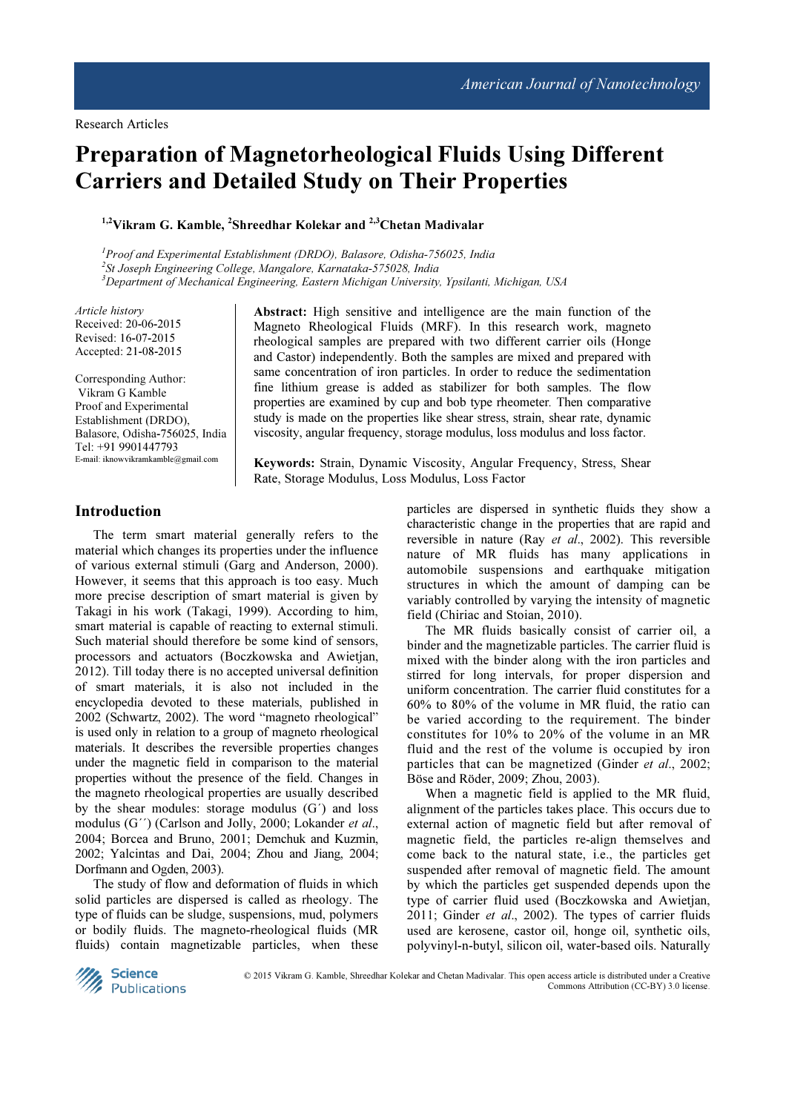# Preparation of Magnetorheological Fluids Using Different Carriers and Detailed Study on Their Properties

<sup>1,2</sup>Vikram G. Kamble, <sup>2</sup>Shreedhar Kolekar and <sup>2,3</sup>Chetan Madivalar

 $1$ Proof and Experimental Establishment (DRDO), Balasore, Odisha-756025, India 2 St Joseph Engineering College, Mangalore, Karnataka-575028, India <sup>3</sup>Department of Mechanical Engineering, Eastern Michigan University, Ypsilanti, Michigan, USA

Article history Received: 20-06-2015 Revised: 16-07-2015 Accepted: 21-08-2015

Corresponding Author: Vikram G Kamble Proof and Experimental Establishment (DRDO), Balasore, Odisha-756025, India Tel: +91 9901447793 E-mail: iknowvikramkamble@gmail.com

Abstract: High sensitive and intelligence are the main function of the Magneto Rheological Fluids (MRF). In this research work, magneto rheological samples are prepared with two different carrier oils (Honge and Castor) independently. Both the samples are mixed and prepared with same concentration of iron particles. In order to reduce the sedimentation fine lithium grease is added as stabilizer for both samples. The flow properties are examined by cup and bob type rheometer. Then comparative study is made on the properties like shear stress, strain, shear rate, dynamic viscosity, angular frequency, storage modulus, loss modulus and loss factor.

Keywords: Strain, Dynamic Viscosity, Angular Frequency, Stress, Shear Rate, Storage Modulus, Loss Modulus, Loss Factor

## Introduction

The term smart material generally refers to the material which changes its properties under the influence of various external stimuli (Garg and Anderson, 2000). However, it seems that this approach is too easy. Much more precise description of smart material is given by Takagi in his work (Takagi, 1999). According to him, smart material is capable of reacting to external stimuli. Such material should therefore be some kind of sensors, processors and actuators (Boczkowska and Awietjan, 2012). Till today there is no accepted universal definition of smart materials, it is also not included in the encyclopedia devoted to these materials, published in 2002 (Schwartz, 2002). The word "magneto rheological" is used only in relation to a group of magneto rheological materials. It describes the reversible properties changes under the magnetic field in comparison to the material properties without the presence of the field. Changes in the magneto rheological properties are usually described by the shear modules: storage modulus (G´) and loss modulus (G'') (Carlson and Jolly, 2000; Lokander et al., 2004; Borcea and Bruno, 2001; Demchuk and Kuzmin, 2002; Yalcintas and Dai, 2004; Zhou and Jiang, 2004; Dorfmann and Ogden, 2003).

The study of flow and deformation of fluids in which solid particles are dispersed is called as rheology. The type of fluids can be sludge, suspensions, mud, polymers or bodily fluids. The magneto-rheological fluids (MR fluids) contain magnetizable particles, when these particles are dispersed in synthetic fluids they show a characteristic change in the properties that are rapid and reversible in nature (Ray et al., 2002). This reversible nature of MR fluids has many applications in automobile suspensions and earthquake mitigation structures in which the amount of damping can be variably controlled by varying the intensity of magnetic field (Chiriac and Stoian, 2010).

The MR fluids basically consist of carrier oil, a binder and the magnetizable particles. The carrier fluid is mixed with the binder along with the iron particles and stirred for long intervals, for proper dispersion and uniform concentration. The carrier fluid constitutes for a 60% to 80% of the volume in MR fluid, the ratio can be varied according to the requirement. The binder constitutes for 10% to 20% of the volume in an MR fluid and the rest of the volume is occupied by iron particles that can be magnetized (Ginder et al., 2002; Böse and Röder, 2009; Zhou, 2003).

When a magnetic field is applied to the MR fluid, alignment of the particles takes place. This occurs due to external action of magnetic field but after removal of magnetic field, the particles re-align themselves and come back to the natural state, i.e., the particles get suspended after removal of magnetic field. The amount by which the particles get suspended depends upon the type of carrier fluid used (Boczkowska and Awietjan, 2011; Ginder et al., 2002). The types of carrier fluids used are kerosene, castor oil, honge oil, synthetic oils, polyvinyl-n-butyl, silicon oil, water-based oils. Naturally



© 2015 Vikram G. Kamble, Shreedhar Kolekar and Chetan Madivalar. This open access article is distributed under a Creative Commons Attribution (CC-BY) 3.0 license.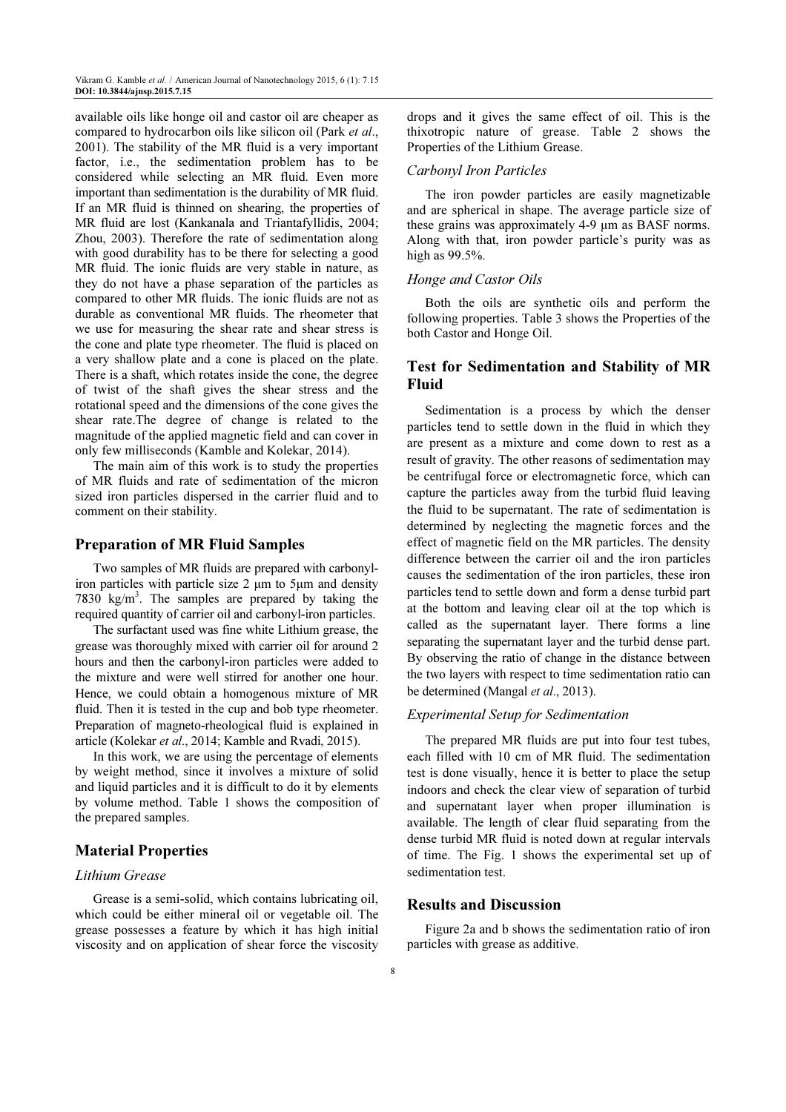available oils like honge oil and castor oil are cheaper as compared to hydrocarbon oils like silicon oil (Park et al., 2001). The stability of the MR fluid is a very important factor, i.e., the sedimentation problem has to be considered while selecting an MR fluid. Even more important than sedimentation is the durability of MR fluid. If an MR fluid is thinned on shearing, the properties of MR fluid are lost (Kankanala and Triantafyllidis, 2004; Zhou, 2003). Therefore the rate of sedimentation along with good durability has to be there for selecting a good MR fluid. The ionic fluids are very stable in nature, as they do not have a phase separation of the particles as compared to other MR fluids. The ionic fluids are not as durable as conventional MR fluids. The rheometer that we use for measuring the shear rate and shear stress is the cone and plate type rheometer. The fluid is placed on a very shallow plate and a cone is placed on the plate. There is a shaft, which rotates inside the cone, the degree of twist of the shaft gives the shear stress and the rotational speed and the dimensions of the cone gives the shear rate.The degree of change is related to the magnitude of the applied magnetic field and can cover in only few milliseconds (Kamble and Kolekar, 2014).

The main aim of this work is to study the properties of MR fluids and rate of sedimentation of the micron sized iron particles dispersed in the carrier fluid and to comment on their stability.

### Preparation of MR Fluid Samples

Two samples of MR fluids are prepared with carbonyliron particles with particle size 2 µm to 5µm and density 7830  $\text{kg/m}^3$ . The samples are prepared by taking the required quantity of carrier oil and carbonyl-iron particles.

The surfactant used was fine white Lithium grease, the grease was thoroughly mixed with carrier oil for around 2 hours and then the carbonyl-iron particles were added to the mixture and were well stirred for another one hour. Hence, we could obtain a homogenous mixture of MR fluid. Then it is tested in the cup and bob type rheometer. Preparation of magneto-rheological fluid is explained in article (Kolekar et al., 2014; Kamble and Rvadi, 2015).

In this work, we are using the percentage of elements by weight method, since it involves a mixture of solid and liquid particles and it is difficult to do it by elements by volume method. Table 1 shows the composition of the prepared samples.

# Material Properties

# Lithium Grease

Grease is a semi-solid, which contains lubricating oil, which could be either mineral oil or vegetable oil. The grease possesses a feature by which it has high initial viscosity and on application of shear force the viscosity

drops and it gives the same effect of oil. This is the thixotropic nature of grease. Table 2 shows the Properties of the Lithium Grease.

#### Carbonyl Iron Particles

The iron powder particles are easily magnetizable and are spherical in shape. The average particle size of these grains was approximately 4-9 µm as BASF norms. Along with that, iron powder particle's purity was as high as 99.5%.

#### Honge and Castor Oils

Both the oils are synthetic oils and perform the following properties. Table 3 shows the Properties of the both Castor and Honge Oil.

# Test for Sedimentation and Stability of MR Fluid

Sedimentation is a process by which the denser particles tend to settle down in the fluid in which they are present as a mixture and come down to rest as a result of gravity. The other reasons of sedimentation may be centrifugal force or electromagnetic force, which can capture the particles away from the turbid fluid leaving the fluid to be supernatant. The rate of sedimentation is determined by neglecting the magnetic forces and the effect of magnetic field on the MR particles. The density difference between the carrier oil and the iron particles causes the sedimentation of the iron particles, these iron particles tend to settle down and form a dense turbid part at the bottom and leaving clear oil at the top which is called as the supernatant layer. There forms a line separating the supernatant layer and the turbid dense part. By observing the ratio of change in the distance between the two layers with respect to time sedimentation ratio can be determined (Mangal et al., 2013).

#### Experimental Setup for Sedimentation

The prepared MR fluids are put into four test tubes, each filled with 10 cm of MR fluid. The sedimentation test is done visually, hence it is better to place the setup indoors and check the clear view of separation of turbid and supernatant layer when proper illumination is available. The length of clear fluid separating from the dense turbid MR fluid is noted down at regular intervals of time. The Fig. 1 shows the experimental set up of sedimentation test.

# Results and Discussion

Figure 2a and b shows the sedimentation ratio of iron particles with grease as additive.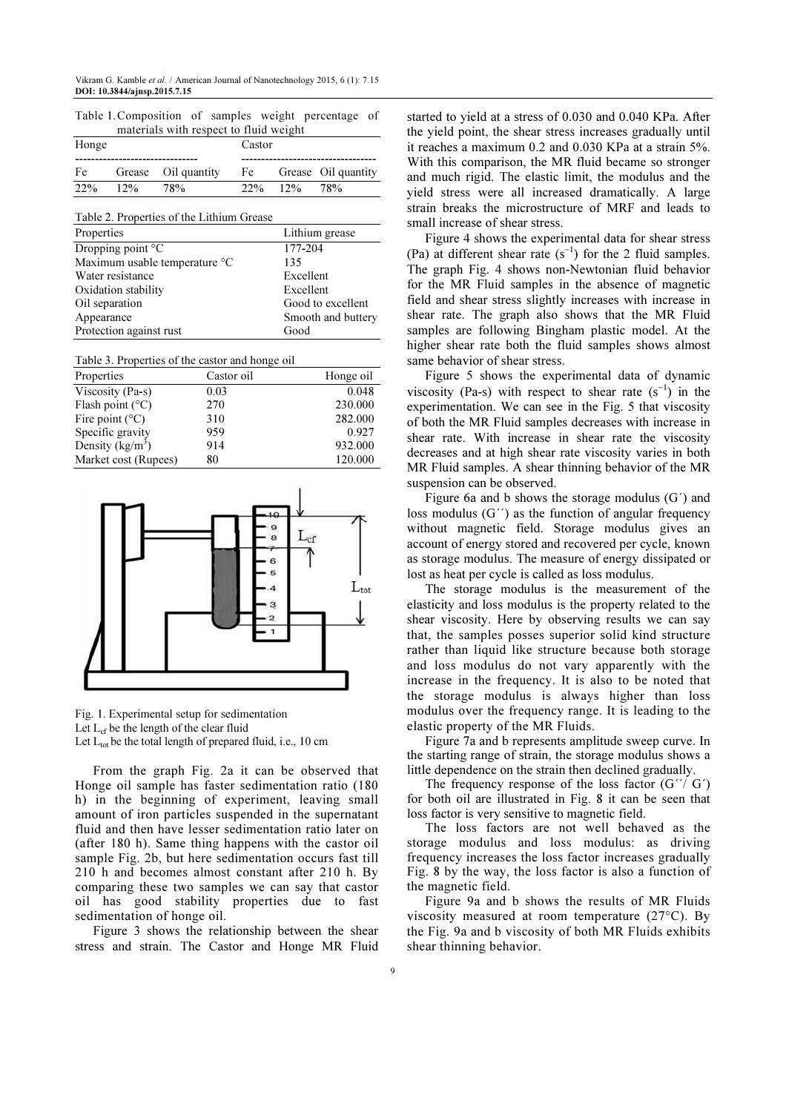| Table 1. Composition of samples weight percentage of |  |  |  |  |  |
|------------------------------------------------------|--|--|--|--|--|
| materials with respect to fluid weight               |  |  |  |  |  |

| Honge |        |                     | Castor      |                     |
|-------|--------|---------------------|-------------|---------------------|
| Fe    |        | Grease Oil quantity | Fe          | Grease Oil quantity |
| 22%   | $12\%$ | 78%                 | $22\%$ 12\% | 78%                 |

Table 2. Properties of the Lithium Grease

| Properties                    | Lithium grease     |
|-------------------------------|--------------------|
| Dropping point $\mathrm{C}$   | 177-204            |
| Maximum usable temperature °C | 135                |
| Water resistance              | Excellent          |
| Oxidation stability           | Excellent          |
| Oil separation                | Good to excellent  |
| Appearance                    | Smooth and buttery |
| Protection against rust       | Good               |

Table 3. Properties of the castor and honge oil

| Properties                | Castor oil | Honge oil |
|---------------------------|------------|-----------|
| Viscosity (Pa-s)          | 0.03       | 0.048     |
| Flash point $(^{\circ}C)$ | 270        | 230.000   |
| Fire point $(^{\circ}C)$  | 310        | 282.000   |
| Specific gravity          | 959        | 0.927     |
| Density $(kg/m^3)$        | 914        | 932.000   |
| Market cost (Rupees)      | 80         | 120.000   |



Fig. 1. Experimental setup for sedimentation Let  $L_{cf}$  be the length of the clear fluid Let  $L_{tot}$  be the total length of prepared fluid, i.e., 10 cm

From the graph Fig. 2a it can be observed that Honge oil sample has faster sedimentation ratio (180 h) in the beginning of experiment, leaving small amount of iron particles suspended in the supernatant fluid and then have lesser sedimentation ratio later on (after 180 h). Same thing happens with the castor oil sample Fig. 2b, but here sedimentation occurs fast till 210 h and becomes almost constant after 210 h. By comparing these two samples we can say that castor oil has good stability properties due to fast sedimentation of honge oil.

Figure 3 shows the relationship between the shear stress and strain. The Castor and Honge MR Fluid

started to yield at a stress of 0.030 and 0.040 KPa. After the yield point, the shear stress increases gradually until it reaches a maximum 0.2 and 0.030 KPa at a strain 5%. With this comparison, the MR fluid became so stronger and much rigid. The elastic limit, the modulus and the yield stress were all increased dramatically. A large strain breaks the microstructure of MRF and leads to small increase of shear stress.

Figure 4 shows the experimental data for shear stress (Pa) at different shear rate  $(s^{-1})$  for the 2 fluid samples. The graph Fig. 4 shows non-Newtonian fluid behavior for the MR Fluid samples in the absence of magnetic field and shear stress slightly increases with increase in shear rate. The graph also shows that the MR Fluid samples are following Bingham plastic model. At the higher shear rate both the fluid samples shows almost same behavior of shear stress.

Figure 5 shows the experimental data of dynamic viscosity (Pa-s) with respect to shear rate  $(s^{-1})$  in the experimentation. We can see in the Fig. 5 that viscosity of both the MR Fluid samples decreases with increase in shear rate. With increase in shear rate the viscosity decreases and at high shear rate viscosity varies in both MR Fluid samples. A shear thinning behavior of the MR suspension can be observed.

Figure 6a and b shows the storage modulus (G´) and loss modulus (G´´) as the function of angular frequency without magnetic field. Storage modulus gives an account of energy stored and recovered per cycle, known as storage modulus. The measure of energy dissipated or lost as heat per cycle is called as loss modulus.

The storage modulus is the measurement of the elasticity and loss modulus is the property related to the shear viscosity. Here by observing results we can say that, the samples posses superior solid kind structure rather than liquid like structure because both storage and loss modulus do not vary apparently with the increase in the frequency. It is also to be noted that the storage modulus is always higher than loss modulus over the frequency range. It is leading to the elastic property of the MR Fluids.

Figure 7a and b represents amplitude sweep curve. In the starting range of strain, the storage modulus shows a little dependence on the strain then declined gradually.

The frequency response of the loss factor  $(G''/ G')$ for both oil are illustrated in Fig. 8 it can be seen that loss factor is very sensitive to magnetic field.

The loss factors are not well behaved as the storage modulus and loss modulus: as driving frequency increases the loss factor increases gradually Fig. 8 by the way, the loss factor is also a function of the magnetic field.

Figure 9a and b shows the results of MR Fluids viscosity measured at room temperature (27°C). By the Fig. 9a and b viscosity of both MR Fluids exhibits shear thinning behavior.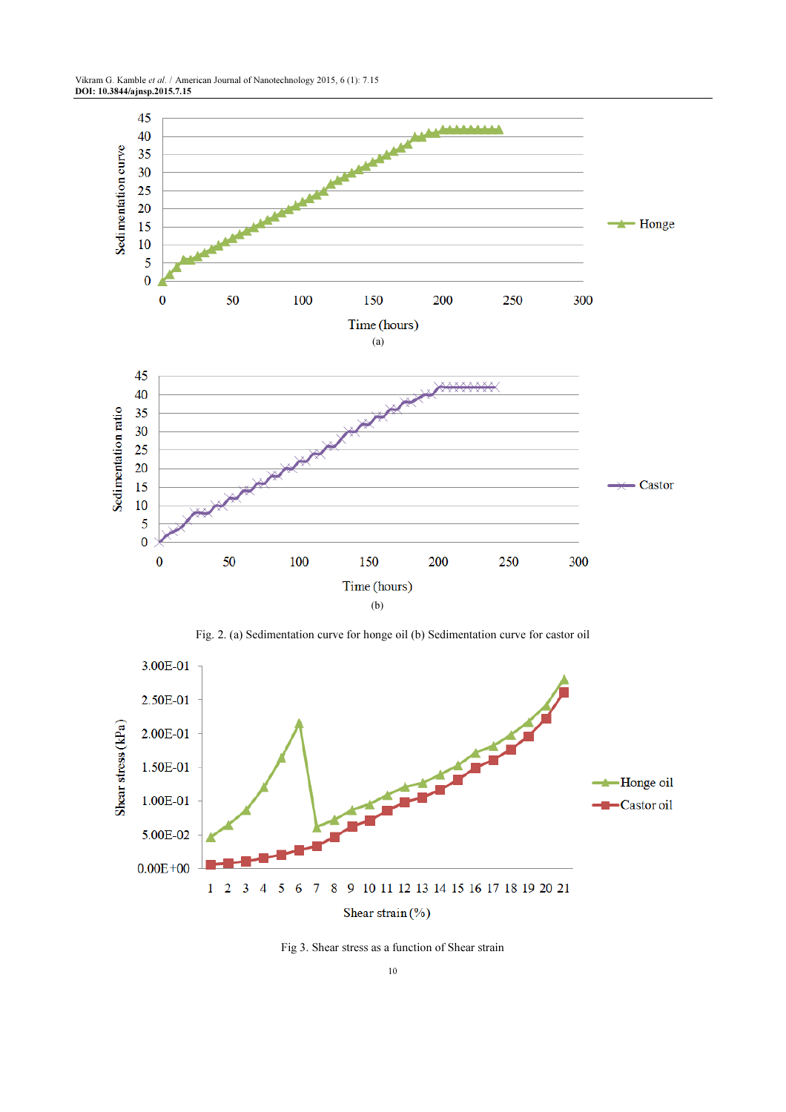Vikram G. Kamble et al. / American Journal of Nanotechnology 2015, 6 (1): 7.15 DOI: 10.3844/ajnsp.2015.7.15



Fig. 2. (a) Sedimentation curve for honge oil (b) Sedimentation curve for castor oil



Fig 3. Shear stress as a function of Shear strain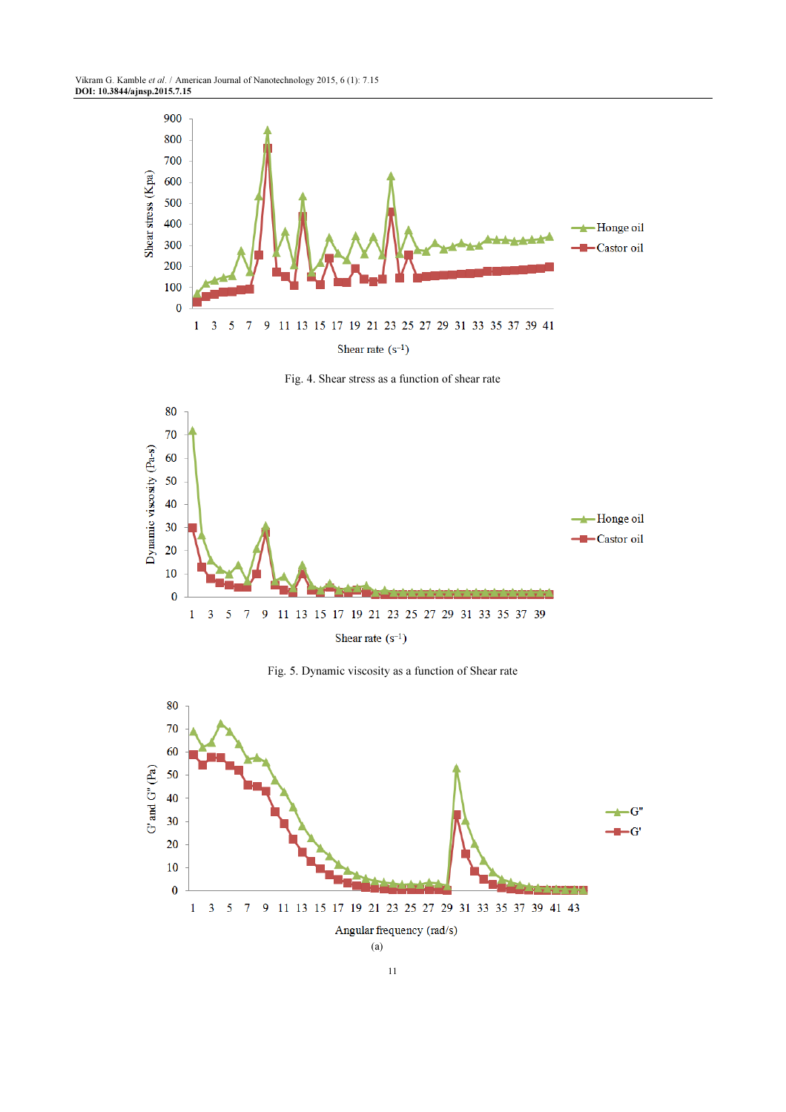





Fig. 5. Dynamic viscosity as a function of Shear rate

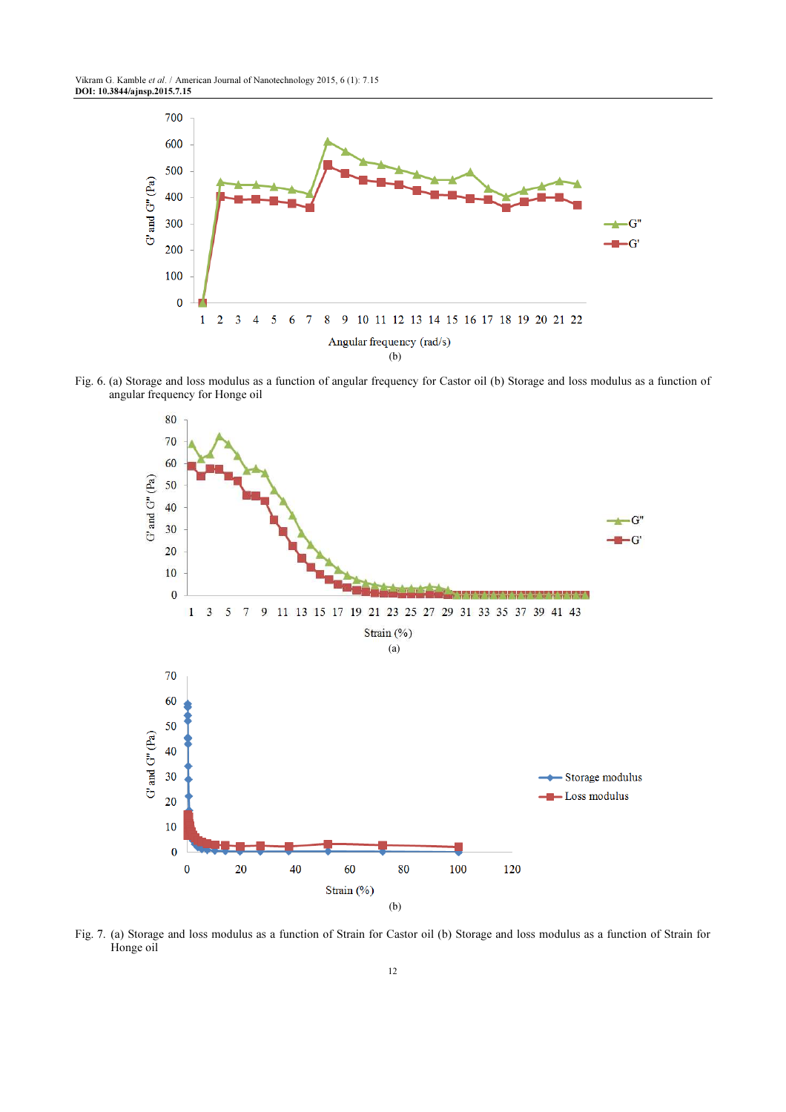Vikram G. Kamble et al. / American Journal of Nanotechnology 2015, 6 (1): 7.15 DOI: 10.3844/ajnsp.2015.7.15



Fig. 6. (a) Storage and loss modulus as a function of angular frequency for Castor oil (b) Storage and loss modulus as a function of angular frequency for Honge oil



Fig. 7. (a) Storage and loss modulus as a function of Strain for Castor oil (b) Storage and loss modulus as a function of Strain for Honge oil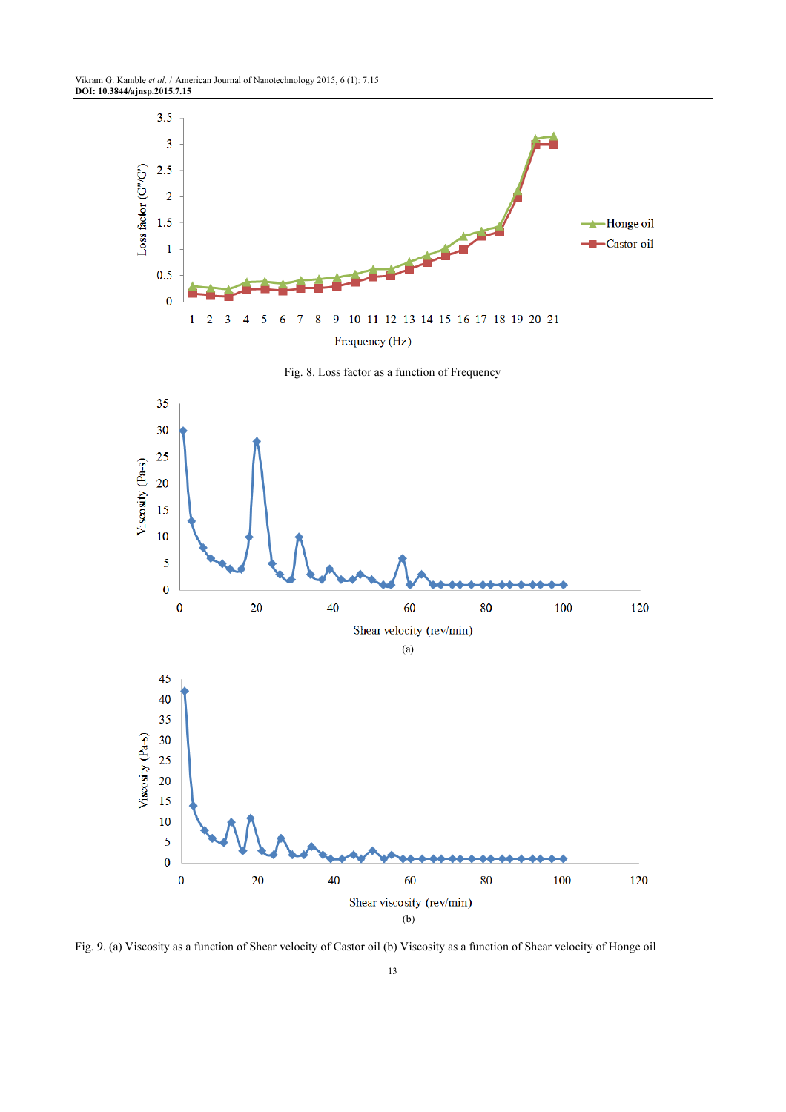Vikram G. Kamble et al. / American Journal of Nanotechnology 2015, 6 (1): 7.15 DOI: 10.3844/ajnsp.2015.7.15



Fig. 9. (a) Viscosity as a function of Shear velocity of Castor oil (b) Viscosity as a function of Shear velocity of Honge oil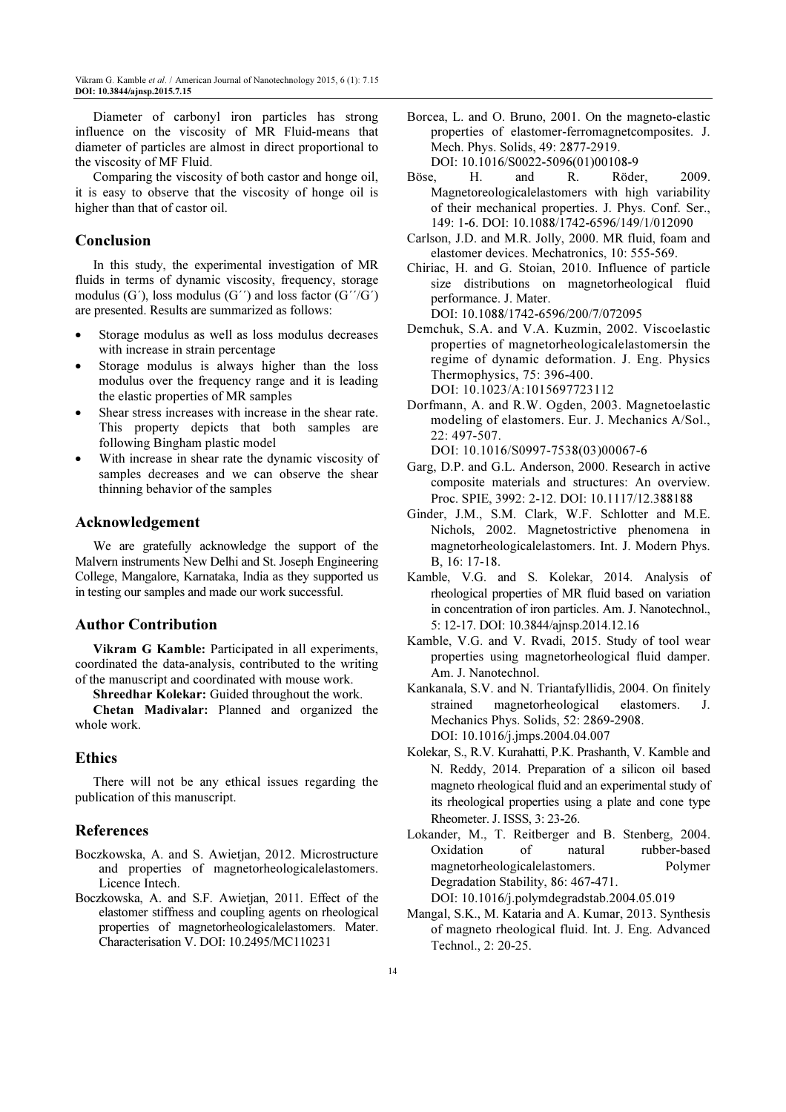Diameter of carbonyl iron particles has strong influence on the viscosity of MR Fluid-means that diameter of particles are almost in direct proportional to the viscosity of MF Fluid.

Comparing the viscosity of both castor and honge oil, it is easy to observe that the viscosity of honge oil is higher than that of castor oil.

# Conclusion

In this study, the experimental investigation of MR fluids in terms of dynamic viscosity, frequency, storage modulus  $(G')$ , loss modulus  $(G')$  and loss factor  $(G'/G')$ are presented. Results are summarized as follows:

- Storage modulus as well as loss modulus decreases with increase in strain percentage
- Storage modulus is always higher than the loss modulus over the frequency range and it is leading the elastic properties of MR samples
- Shear stress increases with increase in the shear rate. This property depicts that both samples are following Bingham plastic model
- With increase in shear rate the dynamic viscosity of samples decreases and we can observe the shear thinning behavior of the samples

### Acknowledgement

We are gratefully acknowledge the support of the Malvern instruments New Delhi and St. Joseph Engineering College, Mangalore, Karnataka, India as they supported us in testing our samples and made our work successful.

## Author Contribution

Vikram G Kamble: Participated in all experiments, coordinated the data-analysis, contributed to the writing of the manuscript and coordinated with mouse work.

Shreedhar Kolekar: Guided throughout the work.

Chetan Madivalar: Planned and organized the whole work.

#### Ethics

There will not be any ethical issues regarding the publication of this manuscript.

#### References

- Boczkowska, A. and S. Awietjan, 2012. Microstructure and properties of magnetorheologicalelastomers. Licence Intech.
- Boczkowska, A. and S.F. Awietjan, 2011. Effect of the elastomer stiffness and coupling agents on rheological properties of magnetorheologicalelastomers. Mater. Characterisation V. DOI: 10.2495/MC110231

Borcea, L. and O. Bruno, 2001. On the magneto-elastic properties of elastomer-ferromagnetcomposites. J. Mech. Phys. Solids, 49: 2877-2919. DOI: 10.1016/S0022-5096(01)00108-9

Böse, H. and R. Röder, 2009. Magnetoreologicalelastomers with high variability of their mechanical properties. J. Phys. Conf. Ser.,

- 149: 1-6. DOI: 10.1088/1742-6596/149/1/012090 Carlson, J.D. and M.R. Jolly, 2000. MR fluid, foam and elastomer devices. Mechatronics, 10: 555-569.
- Chiriac, H. and G. Stoian, 2010. Influence of particle size distributions on magnetorheological fluid performance. J. Mater. DOI: 10.1088/1742-6596/200/7/072095
- Demchuk, S.A. and V.A. Kuzmin, 2002. Viscoelastic properties of magnetorheologicalelastomersin the regime of dynamic deformation. J. Eng. Physics Thermophysics, 75: 396-400. DOI: 10.1023/A:1015697723112
- Dorfmann, A. and R.W. Ogden, 2003. Magnetoelastic modeling of elastomers. Eur. J. Mechanics A/Sol., 22: 497-507.

DOI: 10.1016/S0997-7538(03)00067-6

- Garg, D.P. and G.L. Anderson, 2000. Research in active composite materials and structures: An overview. Proc. SPIE, 3992: 2-12. DOI: 10.1117/12.388188
- Ginder, J.M., S.M. Clark, W.F. Schlotter and M.E. Nichols, 2002. Magnetostrictive phenomena in magnetorheologicalelastomers. Int. J. Modern Phys. B, 16: 17-18.
- Kamble, V.G. and S. Kolekar, 2014. Analysis of rheological properties of MR fluid based on variation in concentration of iron particles. Am. J. Nanotechnol., 5: 12-17. DOI: 10.3844/ajnsp.2014.12.16
- Kamble, V.G. and V. Rvadi, 2015. Study of tool wear properties using magnetorheological fluid damper. Am. J. Nanotechnol.
- Kankanala, S.V. and N. Triantafyllidis, 2004. On finitely strained magnetorheological elastomers. J. Mechanics Phys. Solids, 52: 2869-2908. DOI: 10.1016/j.jmps.2004.04.007
- Kolekar, S., R.V. Kurahatti, P.K. Prashanth, V. Kamble and N. Reddy, 2014. Preparation of a silicon oil based magneto rheological fluid and an experimental study of its rheological properties using a plate and cone type Rheometer. J. ISSS, 3: 23-26.
- Lokander, M., T. Reitberger and B. Stenberg, 2004. Oxidation of natural rubber-based magnetorheologicalelastomers. Polymer Degradation Stability, 86: 467-471. DOI: 10.1016/j.polymdegradstab.2004.05.019
- Mangal, S.K., M. Kataria and A. Kumar, 2013. Synthesis of magneto rheological fluid. Int. J. Eng. Advanced Technol., 2: 20-25.